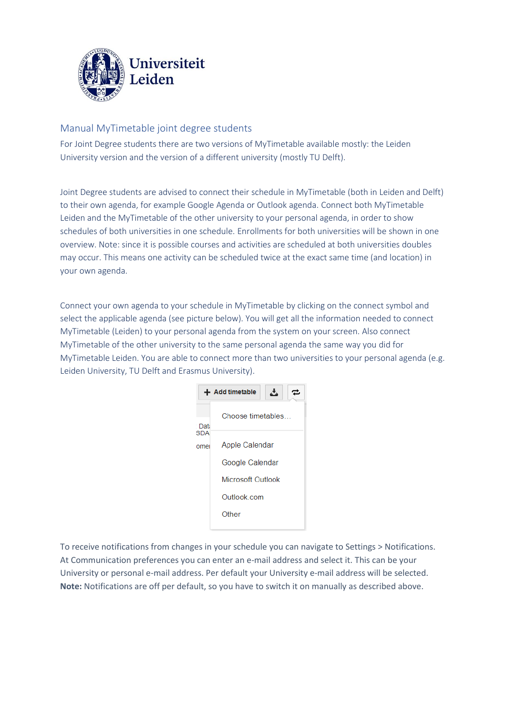

## Manual MyTimetable joint degree students

For Joint Degree students there are two versions of MyTimetable available mostly: the Leiden University version and the version of a different university (mostly TU Delft).

Joint Degree students are advised to connect their schedule in MyTimetable (both in Leiden and Delft) to their own agenda, for example Google Agenda or Outlook agenda. Connect both MyTimetable Leiden and the MyTimetable of the other university to your personal agenda, in order to show schedules of both universities in one schedule. Enrollments for both universities will be shown in one overview. Note: since it is possible courses and activities are scheduled at both universities doubles may occur. This means one activity can be scheduled twice at the exact same time (and location) in your own agenda.

Connect your own agenda to your schedule in MyTimetable by clicking on the connect symbol and select the applicable agenda (see picture below). You will get all the information needed to connect MyTimetable (Leiden) to your personal agenda from the system on your screen. Also connect MyTimetable of the other university to the same personal agenda the same way you did for MyTimetable Leiden. You are able to connect more than two universities to your personal agenda (e.g. Leiden University, TU Delft and Erasmus University).



To receive notifications from changes in your schedule you can navigate to Settings > Notifications. At Communication preferences you can enter an e-mail address and select it. This can be your University or personal e-mail address. Per default your University e-mail address will be selected. **Note:** Notifications are off per default, so you have to switch it on manually as described above.